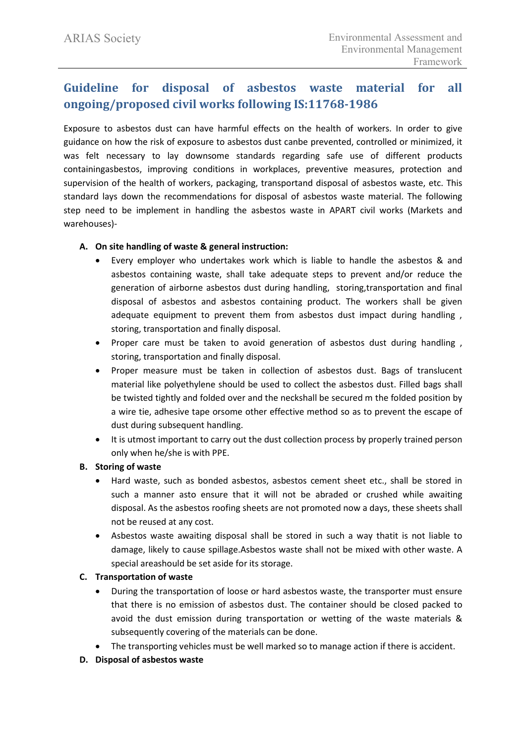## Guideline for disposal of asbestos waste material for all ongoing/proposed civil works following IS:11768-1986

Exposure to asbestos dust can have harmful effects on the health of workers. In order to give guidance on how the risk of exposure to asbestos dust canbe prevented, controlled or minimized, it was felt necessary to lay downsome standards regarding safe use of different products containingasbestos, improving conditions in workplaces, preventive measures, protection and supervision of the health of workers, packaging, transportand disposal of asbestos waste, etc. This standard lays down the recommendations for disposal of asbestos waste material. The following step need to be implement in handling the asbestos waste in APART civil works (Markets and warehouses)-

## A. On site handling of waste & general instruction:

- Every employer who undertakes work which is liable to handle the asbestos & and asbestos containing waste, shall take adequate steps to prevent and/or reduce the generation of airborne asbestos dust during handling, storing,transportation and final disposal of asbestos and asbestos containing product. The workers shall be given adequate equipment to prevent them from asbestos dust impact during handling , storing, transportation and finally disposal.
- Proper care must be taken to avoid generation of asbestos dust during handling, storing, transportation and finally disposal.
- Proper measure must be taken in collection of asbestos dust. Bags of translucent material like polyethylene should be used to collect the asbestos dust. Filled bags shall be twisted tightly and folded over and the neckshall be secured m the folded position by a wire tie, adhesive tape orsome other effective method so as to prevent the escape of dust during subsequent handling.
- It is utmost important to carry out the dust collection process by properly trained person only when he/she is with PPE.
- B. Storing of waste
	- Hard waste, such as bonded asbestos, asbestos cement sheet etc., shall be stored in such a manner asto ensure that it will not be abraded or crushed while awaiting disposal. As the asbestos roofing sheets are not promoted now a days, these sheets shall not be reused at any cost.
	- Asbestos waste awaiting disposal shall be stored in such a way thatit is not liable to damage, likely to cause spillage.Asbestos waste shall not be mixed with other waste. A special areashould be set aside for its storage.

## C. Transportation of waste

- During the transportation of loose or hard asbestos waste, the transporter must ensure that there is no emission of asbestos dust. The container should be closed packed to avoid the dust emission during transportation or wetting of the waste materials & subsequently covering of the materials can be done.
- The transporting vehicles must be well marked so to manage action if there is accident.
- D. Disposal of asbestos waste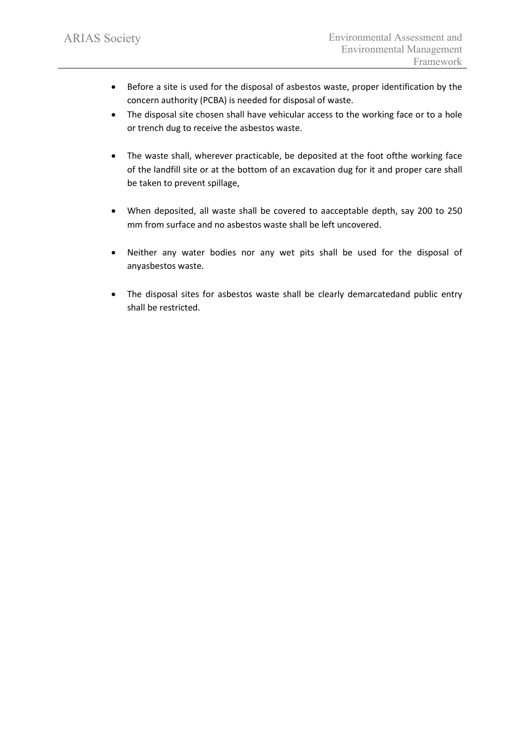- Before a site is used for the disposal of asbestos waste, proper identification by the concern authority (PCBA) is needed for disposal of waste.
- The disposal site chosen shall have vehicular access to the working face or to a hole or trench dug to receive the asbestos waste.
- The waste shall, wherever practicable, be deposited at the foot ofthe working face of the landfill site or at the bottom of an excavation dug for it and proper care shall be taken to prevent spillage,
- When deposited, all waste shall be covered to aacceptable depth, say 200 to 250 mm from surface and no asbestos waste shall be left uncovered.
- Neither any water bodies nor any wet pits shall be used for the disposal of anyasbestos waste.
- The disposal sites for asbestos waste shall be clearly demarcatedand public entry shall be restricted.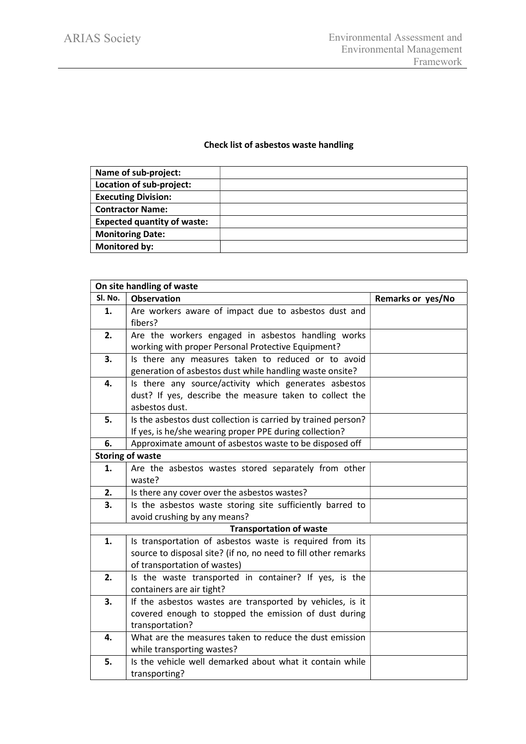## Check list of asbestos waste handling

| Name of sub-project:               |  |
|------------------------------------|--|
| Location of sub-project:           |  |
| <b>Executing Division:</b>         |  |
| <b>Contractor Name:</b>            |  |
| <b>Expected quantity of waste:</b> |  |
| <b>Monitoring Date:</b>            |  |
| <b>Monitored by:</b>               |  |

| On site handling of waste      |                                                                |                   |  |  |
|--------------------------------|----------------------------------------------------------------|-------------------|--|--|
| Sl. No.                        | <b>Observation</b>                                             | Remarks or yes/No |  |  |
| 1.                             | Are workers aware of impact due to asbestos dust and           |                   |  |  |
|                                | fibers?                                                        |                   |  |  |
| 2.                             | Are the workers engaged in asbestos handling works             |                   |  |  |
|                                | working with proper Personal Protective Equipment?             |                   |  |  |
| 3.                             | Is there any measures taken to reduced or to avoid             |                   |  |  |
|                                | generation of asbestos dust while handling waste onsite?       |                   |  |  |
| 4.                             | Is there any source/activity which generates asbestos          |                   |  |  |
|                                | dust? If yes, describe the measure taken to collect the        |                   |  |  |
|                                | asbestos dust.                                                 |                   |  |  |
| 5.                             | Is the asbestos dust collection is carried by trained person?  |                   |  |  |
|                                | If yes, is he/she wearing proper PPE during collection?        |                   |  |  |
| 6.                             | Approximate amount of asbestos waste to be disposed off        |                   |  |  |
| <b>Storing of waste</b>        |                                                                |                   |  |  |
| 1.                             | Are the asbestos wastes stored separately from other           |                   |  |  |
|                                | waste?                                                         |                   |  |  |
| 2.                             | Is there any cover over the asbestos wastes?                   |                   |  |  |
| 3.                             | Is the asbestos waste storing site sufficiently barred to      |                   |  |  |
|                                | avoid crushing by any means?                                   |                   |  |  |
| <b>Transportation of waste</b> |                                                                |                   |  |  |
| 1.                             | Is transportation of asbestos waste is required from its       |                   |  |  |
|                                | source to disposal site? (if no, no need to fill other remarks |                   |  |  |
|                                | of transportation of wastes)                                   |                   |  |  |
| 2.                             | Is the waste transported in container? If yes, is the          |                   |  |  |
|                                | containers are air tight?                                      |                   |  |  |
| 3.                             | If the asbestos wastes are transported by vehicles, is it      |                   |  |  |
|                                | covered enough to stopped the emission of dust during          |                   |  |  |
|                                | transportation?                                                |                   |  |  |
| 4.                             | What are the measures taken to reduce the dust emission        |                   |  |  |
|                                | while transporting wastes?                                     |                   |  |  |
| 5.                             | Is the vehicle well demarked about what it contain while       |                   |  |  |
|                                | transporting?                                                  |                   |  |  |